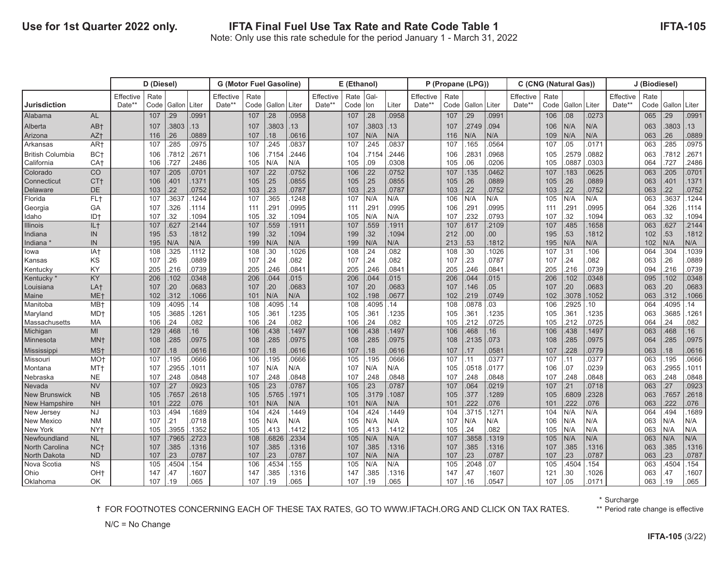|                       |                 |           | D (Diesel) |        |       | <b>G (Motor Fuel Gasoline)</b> |      |                |       | E (Ethanol) |      |       |       | P (Propane (LPG)) |      |                |       | C (CNG (Natural Gas)) |                 |        |         | J (Biodiesel) |      |        |       |
|-----------------------|-----------------|-----------|------------|--------|-------|--------------------------------|------|----------------|-------|-------------|------|-------|-------|-------------------|------|----------------|-------|-----------------------|-----------------|--------|---------|---------------|------|--------|-------|
|                       |                 | Effective | Rate       |        |       | Effective                      | Rate |                |       | Effective   | Rate | Gal-  |       | Effective         | Rate |                |       | Effective             | Rate            |        |         | Effective     | Rate |        |       |
| <b>Jurisdiction</b>   |                 | Date**    | Code       | Gallon | Liter | Date**                         | Code | Gallon   Liter |       | Date**      | Code | lon   | Liter | Date**            | Code | Gallon   Liter |       | Date**                | Code            | Gallon | l Liter | Date**        | Code | Gallon | Liter |
| Alabama               | <b>AL</b>       |           | 107        | .29    | .0991 |                                | 107  | .28            | .0958 |             | 107  | .28   | 0958  |                   | 107  | 29             | .0991 |                       | 106             | .08    | .0273   |               | 065  | .29    | 0991  |
| Alberta               | AB+             |           | 107        | .3803  | 13    |                                | 107  | .3803          | 13    |             | 107  | .3803 | .13   |                   | 107  | 2749           | .094  |                       | 106             | N/A    | N/A     |               | 063  | .3803  | 13    |
| Arizona               | AZ+             |           | 116        | .26    | .0889 |                                | 107  | .18            | 0616  |             | 107  | N/A   | N/A   |                   | 116  | N/A            | N/A   |                       | 109             | N/A    | N/A     |               | 063  | 26     | .0889 |
| Arkansas              | AR <sup>+</sup> |           | 107        | .285   | .0975 |                                | 107  | .245           | 0837  |             | 107  | 245   | 0837  |                   | 107  | 165            | 0564  |                       | 107             | .05    | 0171    |               | 063  | 285    | .0975 |
| British Columbia      | BC+             |           | 106        | .7812  | 2671  |                                | 106  | 715            | 2446  |             | 104  | 7154  | 2446  |                   | 106  | 283'           | .0968 |                       | 105             | .2579  | 0882    |               | 063  | .7812  | 2671  |
| California            | CA <sup>+</sup> |           | 106        | .727   | 2486  |                                | 105  | N/A            | N/A   |             | 105  | .09   | .0308 |                   | 105  | 06             | .0206 |                       | 105             | 0887   | 0303    |               | 064  | .727   | 2486  |
| Colorado              | CO              |           | 107        | .205   | 0701  |                                | 107  | .22            | 0752  |             | 106  | 22    | 0752  |                   | 107  | 135            | 0462  |                       | 107             | 183    | 0625    |               | 063  | 205    | 0701  |
| l Connecticut         | CT <sub>t</sub> |           | 106        | .401   | 1371  |                                | 105  | .25            | 0855  |             | 105  | 25    | 0855  |                   | 105  | 26             | .0889 |                       | 105             | .26    | .0889   |               | 063  | 401    | 1371  |
| Delaware              | DE              |           | 103        | .22    | 0752  |                                | 103  | .23            | 0787  |             | 103  | 23    | 0787  |                   | 103  | 22             | .0752 |                       | 103             | 22     | 0752    |               | 063  | 22     | 0752  |
| Florida               | FL <sub>t</sub> |           | 107        | .3637  | 1244  |                                | 107  | .365           | 1248  |             | 107  | N/A   | N/A   |                   | 106  | N/A            | N/A   |                       | 105             | N/A    | N/A     |               | 063  | 3637   | 1244  |
| Georgia               | GA              |           | 107        | .326   | 1114  |                                | 111  | .291           | 0995  |             | 111  | 29'   | 0995  |                   | 106  | 291            | 0995  |                       | 111             | .291   | 0995    |               | 064  | 326    | .1114 |
| Idaho                 | ID+             |           | 107        | .32    | 1094  |                                | 105  | .32            | 1094  |             | 105  | N/A   | N/A   |                   | 107  | .232           | .0793 |                       | 107             | 32     | 1094    |               | 063  | 32     | 1094  |
| <b>Illinois</b>       | IL+             |           | 107        | .627   | .2144 |                                | 107  | .559           | 1911  |             | 107  | 559   | 1911  |                   | 107  | 617            | .2109 |                       | 107             | 485    | .1658   |               | 063  | .627   | .2144 |
| Indiana               | IN              |           | 195        | .53    | 1812  |                                | 199  | .32            | 1094  |             | 199  | 32    | 1094  |                   | 212  | 00             | 00.   |                       | 195             | .53    | .1812   |               | 102  | 53     | .1812 |
| Indiana               | IN              |           | 195        | N/A    | N/A   |                                | 199  | N/A            | N/A   |             | 199  | N/A   | N/A   |                   | 213  | 53             | 1812  |                       | 195             | N/A    | N/A     |               | 102  | N/A    | N/A   |
| lowa                  | IA+             |           | 108        | .325   | .1112 |                                | 108  | .30            | 1026  |             | 108  | .24   | .082  |                   | 108  | 30             | 1026  |                       | 107             | .31    | .106    |               | 064  | .304   | .1039 |
| Kansas                | KS              |           | 107        | .26    | .0889 |                                | 107  | .24            | 082   |             | 107  | .24   | .082  |                   | 107  | 23             | .0787 |                       | 107             | .24    | .082    |               | 063  | .26    | .0889 |
| Kentucky              | KY              |           | 205        | .216   | 0739  |                                | 205  | .246           | 0841  |             | 205  | .246  | 0841  |                   | 205  | 246            | 0841  |                       | 205             | .216   | .0739   |               | 094  | 216    | .0739 |
| Kentucky <sup>*</sup> | KY              |           | 206        | .102   | .0348 |                                | 206  | .044           | 015   |             | 206  | 044   | .015  |                   | 206  | 044            | .015  |                       | 206             | 102    | .0348   |               | 095  | 102    | 0348  |
| Louisiana             | LA <sup>+</sup> |           | 107        | .20    | .0683 |                                | 107  | .20            | .0683 |             | 107  | .20   | .0683 |                   | 107  | 146            | .05   |                       | 107             | .20    | .0683   |               | 063  | 20     | .0683 |
| Maine                 | ME <sub>t</sub> |           | 102        | .312   | 1066  |                                | 101  | N/A            | N/A   |             | 102  | 198   | .0677 |                   | 102  | 219            | .0749 |                       | 102             | .3078  | 1052    |               | 063  | 312    | 1066  |
| Manitoba              | MB+             |           | 109        | .4095  | 14    |                                | 108  | 4095           | 14    |             | 108  | 4095  | .14   |                   | 108  | .0878          | .03   |                       | 106             | 2925   | .10     |               | 064  | 4095   | 14    |
| Maryland              | MD <sup>+</sup> |           | 105        | .3685  | 1261  |                                | 105  | .361           | 1235  |             | 105  | .361  | 1235  |                   | 105  | 361            | 1235  |                       | 105             | .361   | .1235   |               | 063  | 3685   | 1261  |
| Massachusetts         | MA              |           | 106        | .24    | .082  |                                | 106  | .24            | 082   |             | 106  | 24    | .082  |                   | 105  | 212            | .0725 |                       | 105             | 212    | 0725    |               | 064  | 24     | 082   |
| Michigan              | MI              |           | 129        | 468    | 16    |                                | 106  | .438           | 1497  |             | 106  | 438   | 1497  |                   | 106  | 468            | 16    |                       | 106             | .438   | .1497   |               | 063  | 468    | 16    |
| Minnesota             | MN <sup>+</sup> |           | 108        | .285   | .0975 |                                | 108  | .285           | 0975  |             | 108  | 285   | 0975  |                   | 108  | 2135           | .073  |                       | 108             | .285   | .0975   |               | 064  | .285   | 0975  |
| Mississippi           | MS <sup>+</sup> |           | 107        | .18    | .0616 |                                | 107  | .18            | .0616 |             | 107  | .18   | 0616  |                   | 107  | 17             | 0581  |                       | 107             | .228   | .0779   |               | 063  | 18     | 0616  |
| Missouri              | MO <sub>†</sub> |           | 107        | .195   | .0666 |                                | 106  | .195           | 0666  |             | 105  | 195   | .0666 |                   | 107  | .11            | .0377 |                       | 107             | .11    | .0377   |               | 063  | 195    | .0666 |
| Montana               | MT+             |           | 107        | .2955  | 1011  |                                | 107  | N/A            | N/A   |             | 107  | N/A   | N/A   |                   | 105  | 0518           | .0177 |                       | 106             | .07    | .0239   |               | 063  | 2955   | 1011  |
| Nebraska              | <b>NE</b>       |           | 107        | .248   | .0848 |                                | 107  | .248           | 0848  |             | 107  | 248   | 0848  |                   | 107  | 248            | 0848  |                       | 107             | 248    | 0848    |               | 063  | 248    | 0848  |
| INevada               | <b>NV</b>       |           | 107        | .27    | .0923 |                                | 105  | .23            | 0787  |             | 105  | .23   | 0787  |                   | 107  | 064            | 0219  |                       | 107             | .21    | 0718    |               | 063  | .27    | .0923 |
| <b>New Brunswick</b>  | <b>NB</b>       |           | 105        | .7657  | .2618 |                                | 105  | .5765          | 1971  |             | 105  | .3179 | .1087 |                   | 105  | 377            | 1289  |                       | 105             | .6809  | .2328   |               | 063  | 7657   | 2618  |
| <b>New Hampshire</b>  | <b>NH</b>       |           | 101        | .222   | .076  |                                | 101  | N/A            | N/A   |             | 101  | N/A   | N/A   |                   | 101  | 222            | .076  |                       | 10 <sup>7</sup> | 222    | .076    |               | 063  | 222    | 076   |
| New Jersey            | <b>NJ</b>       |           | 103        | .494   | 1689  |                                | 104  | .424           | 1449  |             | 104  | 424   | 1449  |                   | 104  | .3715          | .1271 |                       | 104             | N/A    | N/A     |               | 064  | .494   | .1689 |
| New Mexico            | <b>NM</b>       |           | 107        | .21    | .0718 |                                | 105  | N/A            | N/A   |             | 105  | N/A   | N/A   |                   | 107  | N/A            | N/A   |                       | 106             | N/A    | N/A     |               | 063  | N/A    | N/A   |
| New York              | NY <sub>t</sub> |           | 105        | .3955  | 1352  |                                | 105  | .413           | 1412  |             | 105  | .413  | .1412 |                   | 105  | 24             | .082  |                       | 105             | N/A    | N/A     |               | 063  | N/A    | N/A   |
| Newfoundland          | <b>NL</b>       |           | 107        | .7965  | .2723 |                                | 108  | .6826          | 2334  |             | 105  | N/A   | N/A   |                   | 107  | 3858           | 1319  |                       | 105             | N/A    | N/A     |               | 063  | N/A    | N/A   |
| North Carolina        | NC <sub>†</sub> |           | 107        | .385   | 1316  |                                | 107  | .385           | 1316  |             | 107  | .385  | .1316 |                   | 107  | 385            | .1316 |                       | 107             | .385   | .1316   |               | 063  | .385   | 1316  |
| North Dakota          | <b>ND</b>       |           | 107        | .23    | .0787 |                                | 107  | .23            | 0787  |             | 107  | N/A   | N/A   |                   | 107  | 23             | .0787 |                       | 107             | .23    | 0787    |               | 063  | 23     | .0787 |
| Nova Scotia           | <b>NS</b>       |           | 105        | .4504  | 154   |                                | 106  | .4534          | 155   |             | 105  | N/A   | N/A   |                   | 105  | 2048           | .07   |                       | 105             | .4504  | 154     |               | 063  | 4504   | 154   |
| l Ohio                | OH <sub>t</sub> |           | 147        | .47    | 1607  |                                | 147  | .385           | 1316  |             | 147  | .385  | .1316 |                   | 147  | 47             | .1607 |                       | 121             | .30    | .1026   |               | 063  | 47     | 1607  |
| Oklahoma              | OK              |           | 107        | .19    | .065  |                                | 107  | .19            | 065   |             | 107  | .19   | 065   |                   | 107  | 16             | 0547  |                       | 107             | .05    | 0171    |               | 063  | 19     | 065   |

\* Surcharge

**†** FOR FOOTNOTES CONCERNING EACH OF THESE TAX RATES, GO TO WWW.IFTACH.ORG AND CLICK ON TAX RATES. \*\* Period rate change is effective